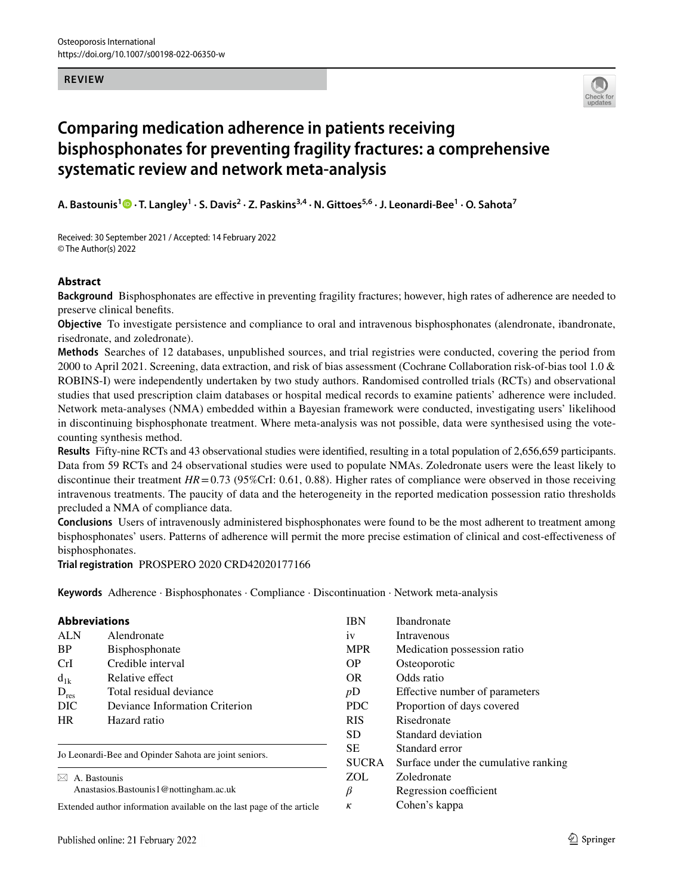#### **REVIEW**



# **Comparing medication adherence in patients receiving bisphosphonates for preventing fragility fractures: a comprehensive systematic review and network meta‑analysis**

**A. Bastounis<sup>1</sup>  [·](http://orcid.org/0000-0001-5861-9373) T. Langley<sup>1</sup> · S. Davis<sup>2</sup> · Z. Paskins3,4 · N. Gittoes5,6 · J. Leonardi‑Bee1 · O. Sahota<sup>7</sup>**

Received: 30 September 2021 / Accepted: 14 February 2022 © The Author(s) 2022

### **Abstract**

**Background** Bisphosphonates are efective in preventing fragility fractures; however, high rates of adherence are needed to preserve clinical benefts.

**Objective** To investigate persistence and compliance to oral and intravenous bisphosphonates (alendronate, ibandronate, risedronate, and zoledronate).

**Methods** Searches of 12 databases, unpublished sources, and trial registries were conducted, covering the period from 2000 to April 2021. Screening, data extraction, and risk of bias assessment (Cochrane Collaboration risk-of-bias tool 1.0 & ROBINS-I) were independently undertaken by two study authors. Randomised controlled trials (RCTs) and observational studies that used prescription claim databases or hospital medical records to examine patients' adherence were included. Network meta-analyses (NMA) embedded within a Bayesian framework were conducted, investigating users' likelihood in discontinuing bisphosphonate treatment. Where meta-analysis was not possible, data were synthesised using the votecounting synthesis method.

**Results** Fifty-nine RCTs and 43 observational studies were identifed, resulting in a total population of 2,656,659 participants. Data from 59 RCTs and 24 observational studies were used to populate NMAs. Zoledronate users were the least likely to discontinue their treatment *HR*=0.73 (95%CrI: 0.61, 0.88). Higher rates of compliance were observed in those receiving intravenous treatments. The paucity of data and the heterogeneity in the reported medication possession ratio thresholds precluded a NMA of compliance data.

**Conclusions** Users of intravenously administered bisphosphonates were found to be the most adherent to treatment among bisphosphonates' users. Patterns of adherence will permit the more precise estimation of clinical and cost-efectiveness of bisphosphonates.

*κ* Cohen's kappa

**Trial registration** PROSPERO 2020 CRD42020177166

**Keywords** Adherence · Bisphosphonates · Compliance · Discontinuation · Network meta-analysis

|                           | <b>Abbreviations</b>                                  | <b>IBN</b>   | <b>Ibandronate</b>                   |
|---------------------------|-------------------------------------------------------|--------------|--------------------------------------|
| <b>ALN</b>                | Alendronate                                           | 1V           | Intravenous                          |
| <b>BP</b>                 | Bisphosphonate                                        | <b>MPR</b>   | Medication possession ratio          |
| CrI                       | Credible interval                                     | OP.          | Osteoporotic                         |
| $d_{1k}$                  | Relative effect                                       | OR.          | Odds ratio                           |
| $D_{res}$                 | Total residual deviance                               | pD           | Effective number of parameters       |
| DIC                       | Deviance Information Criterion                        | PDC.         | Proportion of days covered           |
| <b>HR</b><br>Hazard ratio |                                                       | <b>RIS</b>   | Risedronate                          |
|                           |                                                       | SD.          | Standard deviation                   |
|                           |                                                       | SE.          | Standard error                       |
|                           | Jo Leonardi-Bee and Opinder Sahota are joint seniors. | <b>SUCRA</b> | Surface under the cumulative ranking |
| $\bowtie$                 | A. Bastounis                                          | <b>ZOL</b>   | Zoledronate                          |
|                           | Anastasios. Bastounis 1 @ notting ham. ac.uk          |              | Regression coefficient               |

Extended author information available on the last page of the article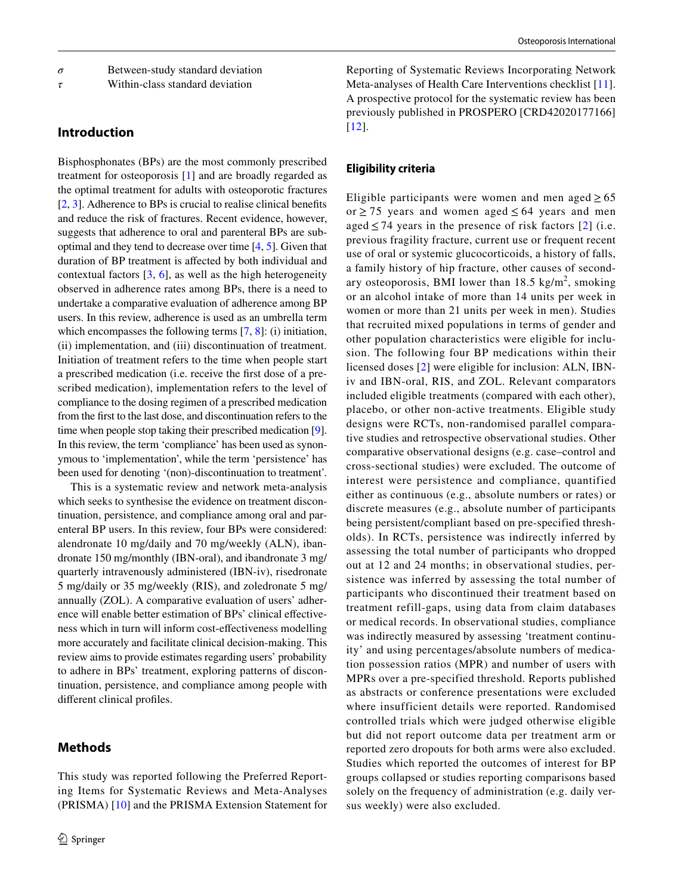*τ* Within-class standard deviation

# **Introduction**

Bisphosphonates (BPs) are the most commonly prescribed treatment for osteoporosis [\[1](#page-8-0)] and are broadly regarded as the optimal treatment for adults with osteoporotic fractures [\[2](#page-8-1), [3\]](#page-8-2). Adherence to BPs is crucial to realise clinical benefts and reduce the risk of fractures. Recent evidence, however, suggests that adherence to oral and parenteral BPs are suboptimal and they tend to decrease over time [[4,](#page-8-3) [5](#page-8-4)]. Given that duration of BP treatment is afected by both individual and contextual factors  $[3, 6]$  $[3, 6]$  $[3, 6]$  $[3, 6]$ , as well as the high heterogeneity observed in adherence rates among BPs, there is a need to undertake a comparative evaluation of adherence among BP users. In this review, adherence is used as an umbrella term which encompasses the following terms [\[7](#page-8-6), [8](#page-9-0)]: (i) initiation, (ii) implementation, and (iii) discontinuation of treatment. Initiation of treatment refers to the time when people start a prescribed medication (i.e. receive the frst dose of a prescribed medication), implementation refers to the level of compliance to the dosing regimen of a prescribed medication from the frst to the last dose, and discontinuation refers to the time when people stop taking their prescribed medication [[9](#page-9-1)]. In this review, the term 'compliance' has been used as synonymous to 'implementation', while the term 'persistence' has been used for denoting '(non)-discontinuation to treatment'.

This is a systematic review and network meta-analysis which seeks to synthesise the evidence on treatment discontinuation, persistence, and compliance among oral and parenteral BP users. In this review, four BPs were considered: alendronate 10 mg/daily and 70 mg/weekly (ALN), ibandronate 150 mg/monthly (IBN-oral), and ibandronate 3 mg/ quarterly intravenously administered (IBN-iv), risedronate 5 mg/daily or 35 mg/weekly (RIS), and zoledronate 5 mg/ annually (ZOL). A comparative evaluation of users' adherence will enable better estimation of BPs' clinical efectiveness which in turn will inform cost-efectiveness modelling more accurately and facilitate clinical decision-making. This review aims to provide estimates regarding users' probability to adhere in BPs' treatment, exploring patterns of discontinuation, persistence, and compliance among people with diferent clinical profles.

# **Methods**

This study was reported following the Preferred Reporting Items for Systematic Reviews and Meta-Analyses (PRISMA) [[10](#page-9-2)] and the PRISMA Extension Statement for Reporting of Systematic Reviews Incorporating Network Meta-analyses of Health Care Interventions checklist [[11](#page-9-3)]. A prospective protocol for the systematic review has been previously published in PROSPERO [CRD42020177166] [[12](#page-9-4)].

### **Eligibility criteria**

Eligible participants were women and men aged  $\geq 65$ or  $\geq$  75 years and women aged  $\leq$  64 years and men aged  $\leq$  74 years in the presence of risk factors [[2](#page-8-1)] (i.e. previous fragility fracture, current use or frequent recent use of oral or systemic glucocorticoids, a history of falls, a family history of hip fracture, other causes of secondary osteoporosis, BMI lower than  $18.5 \text{ kg/m}^2$ , smoking or an alcohol intake of more than 14 units per week in women or more than 21 units per week in men). Studies that recruited mixed populations in terms of gender and other population characteristics were eligible for inclusion. The following four BP medications within their licensed doses [[2\]](#page-8-1) were eligible for inclusion: ALN, IBNiv and IBN-oral, RIS, and ZOL. Relevant comparators included eligible treatments (compared with each other), placebo, or other non-active treatments. Eligible study designs were RCTs, non-randomised parallel comparative studies and retrospective observational studies. Other comparative observational designs (e.g. case–control and cross-sectional studies) were excluded. The outcome of interest were persistence and compliance, quantified either as continuous (e.g., absolute numbers or rates) or discrete measures (e.g., absolute number of participants being persistent/compliant based on pre-specified thresholds). In RCTs, persistence was indirectly inferred by assessing the total number of participants who dropped out at 12 and 24 months; in observational studies, persistence was inferred by assessing the total number of participants who discontinued their treatment based on treatment refill-gaps, using data from claim databases or medical records. In observational studies, compliance was indirectly measured by assessing 'treatment continuity' and using percentages/absolute numbers of medication possession ratios (MPR) and number of users with MPRs over a pre-specified threshold. Reports published as abstracts or conference presentations were excluded where insufficient details were reported. Randomised controlled trials which were judged otherwise eligible but did not report outcome data per treatment arm or reported zero dropouts for both arms were also excluded. Studies which reported the outcomes of interest for BP groups collapsed or studies reporting comparisons based solely on the frequency of administration (e.g. daily versus weekly) were also excluded.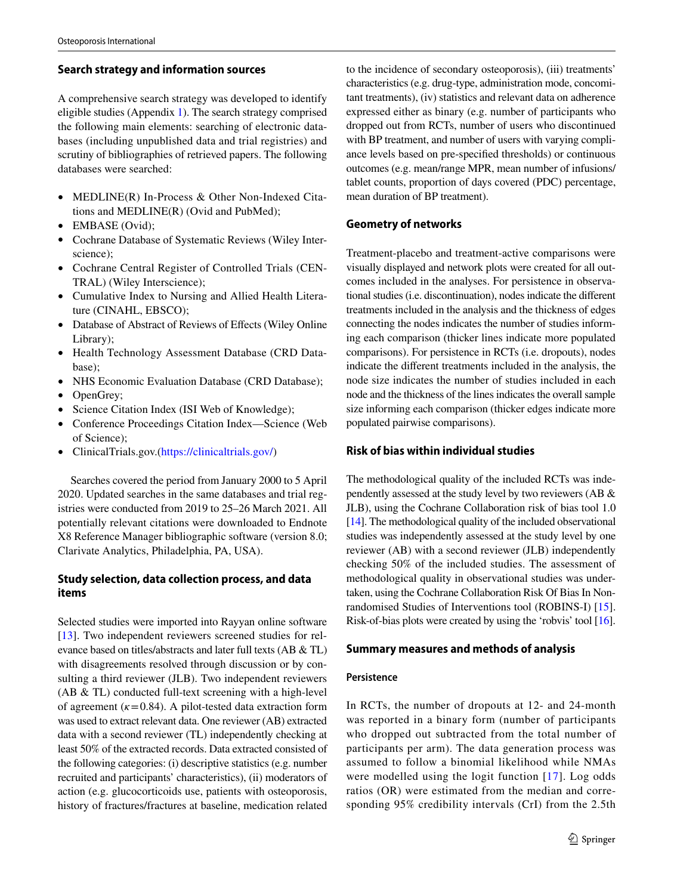### **Search strategy and information sources**

A comprehensive search strategy was developed to identify eligible studies (Appendix 1). The search strategy comprised the following main elements: searching of electronic databases (including unpublished data and trial registries) and scrutiny of bibliographies of retrieved papers. The following databases were searched:

- MEDLINE(R) In-Process & Other Non-Indexed Citations and MEDLINE(R) (Ovid and PubMed);
- EMBASE (Ovid);
- Cochrane Database of Systematic Reviews (Wiley Interscience);
- Cochrane Central Register of Controlled Trials (CEN-TRAL) (Wiley Interscience);
- Cumulative Index to Nursing and Allied Health Literature (CINAHL, EBSCO);
- Database of Abstract of Reviews of Effects (Wiley Online Library);
- Health Technology Assessment Database (CRD Database);
- NHS Economic Evaluation Database (CRD Database);
- OpenGrey;
- Science Citation Index (ISI Web of Knowledge);
- Conference Proceedings Citation Index—Science (Web of Science);
- ClinicalTrials.gov.(<https://clinicaltrials.gov/>)

Searches covered the period from January 2000 to 5 April 2020. Updated searches in the same databases and trial registries were conducted from 2019 to 25–26 March 2021. All potentially relevant citations were downloaded to Endnote X8 Reference Manager bibliographic software (version 8.0; Clarivate Analytics, Philadelphia, PA, USA).

# **Study selection, data collection process, and data items**

Selected studies were imported into Rayyan online software [\[13\]](#page-9-5). Two independent reviewers screened studies for relevance based on titles/abstracts and later full texts (AB & TL) with disagreements resolved through discussion or by consulting a third reviewer (JLB). Two independent reviewers (AB & TL) conducted full-text screening with a high-level of agreement  $(k=0.84)$ . A pilot-tested data extraction form was used to extract relevant data. One reviewer (AB) extracted data with a second reviewer (TL) independently checking at least 50% of the extracted records. Data extracted consisted of the following categories: (i) descriptive statistics (e.g. number recruited and participants' characteristics), (ii) moderators of action (e.g. glucocorticoids use, patients with osteoporosis, history of fractures/fractures at baseline, medication related

to the incidence of secondary osteoporosis), (iii) treatments' characteristics (e.g. drug-type, administration mode, concomitant treatments), (iv) statistics and relevant data on adherence expressed either as binary (e.g. number of participants who dropped out from RCTs, number of users who discontinued with BP treatment, and number of users with varying compliance levels based on pre-specifed thresholds) or continuous outcomes (e.g. mean/range MPR, mean number of infusions/ tablet counts, proportion of days covered (PDC) percentage, mean duration of BP treatment).

# **Geometry of networks**

Treatment-placebo and treatment-active comparisons were visually displayed and network plots were created for all outcomes included in the analyses. For persistence in observational studies (i.e. discontinuation), nodes indicate the diferent treatments included in the analysis and the thickness of edges connecting the nodes indicates the number of studies informing each comparison (thicker lines indicate more populated comparisons). For persistence in RCTs (i.e. dropouts), nodes indicate the diferent treatments included in the analysis, the node size indicates the number of studies included in each node and the thickness of the lines indicates the overall sample size informing each comparison (thicker edges indicate more populated pairwise comparisons).

### **Risk of bias within individual studies**

The methodological quality of the included RCTs was independently assessed at the study level by two reviewers (AB & JLB), using the Cochrane Collaboration risk of bias tool 1.0 [\[14\]](#page-9-6). The methodological quality of the included observational studies was independently assessed at the study level by one reviewer (AB) with a second reviewer (JLB) independently checking 50% of the included studies. The assessment of methodological quality in observational studies was undertaken, using the Cochrane Collaboration Risk Of Bias In Nonrandomised Studies of Interventions tool (ROBINS-I) [\[15](#page-9-7)]. Risk-of-bias plots were created by using the 'robvis' tool [[16\]](#page-9-8).

### **Summary measures and methods of analysis**

### **Persistence**

In RCTs, the number of dropouts at 12- and 24-month was reported in a binary form (number of participants who dropped out subtracted from the total number of participants per arm). The data generation process was assumed to follow a binomial likelihood while NMAs were modelled using the logit function [\[17\]](#page-9-9). Log odds ratios (OR) were estimated from the median and corresponding 95% credibility intervals (CrI) from the 2.5th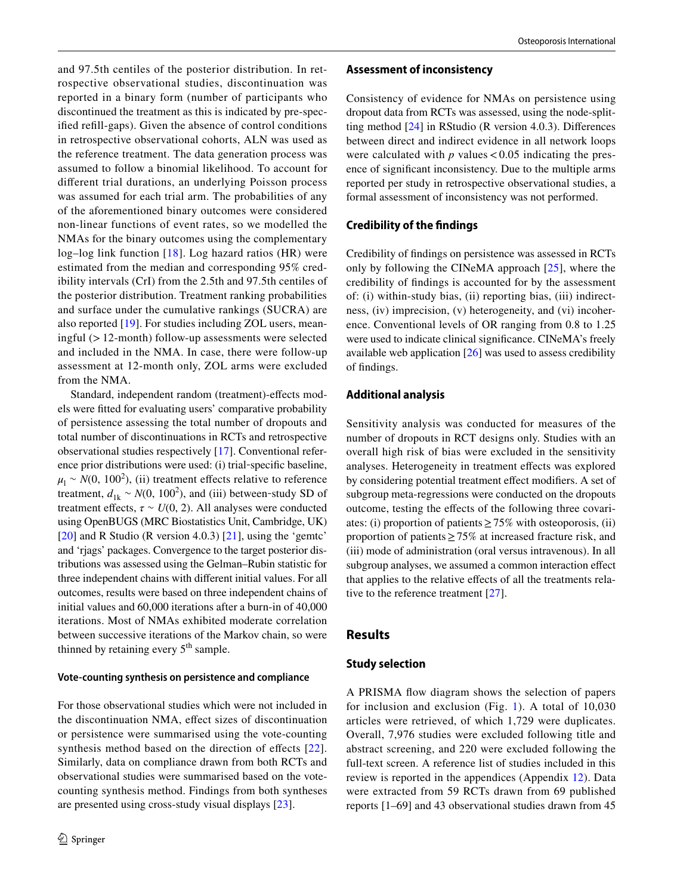and 97.5th centiles of the posterior distribution. In retrospective observational studies, discontinuation was reported in a binary form (number of participants who discontinued the treatment as this is indicated by pre-specifed refll-gaps). Given the absence of control conditions in retrospective observational cohorts, ALN was used as the reference treatment. The data generation process was assumed to follow a binomial likelihood. To account for diferent trial durations, an underlying Poisson process was assumed for each trial arm. The probabilities of any of the aforementioned binary outcomes were considered non-linear functions of event rates, so we modelled the NMAs for the binary outcomes using the complementary log–log link function [\[18](#page-9-10)]. Log hazard ratios (HR) were estimated from the median and corresponding 95% credibility intervals (CrI) from the 2.5th and 97.5th centiles of the posterior distribution. Treatment ranking probabilities and surface under the cumulative rankings (SUCRA) are also reported [[19\]](#page-9-11). For studies including ZOL users, meaningful (>12-month) follow-up assessments were selected and included in the NMA. In case, there were follow-up assessment at 12-month only, ZOL arms were excluded from the NMA.

Standard, independent random (treatment)-efects models were ftted for evaluating users' comparative probability of persistence assessing the total number of dropouts and total number of discontinuations in RCTs and retrospective observational studies respectively [[17\]](#page-9-9). Conventional reference prior distributions were used: (i) trial‐specifc baseline,  $\mu_1 \sim N(0, 100^2)$ , (ii) treatment effects relative to reference treatment,  $d_{1k} \sim N(0, 100^2)$ , and (iii) between-study SD of treatment effects,  $\tau \sim U(0, 2)$ . All analyses were conducted using OpenBUGS (MRC Biostatistics Unit, Cambridge, UK) [\[20\]](#page-9-12) and R Studio (R version 4.0.3) [[21\]](#page-9-13), using the 'gemtc' and 'rjags' packages. Convergence to the target posterior distributions was assessed using the Gelman–Rubin statistic for three independent chains with diferent initial values. For all outcomes, results were based on three independent chains of initial values and 60,000 iterations after a burn-in of 40,000 iterations. Most of NMAs exhibited moderate correlation between successive iterations of the Markov chain, so were thinned by retaining every  $5<sup>th</sup>$  sample.

#### **Vote‑counting synthesis on persistence and compliance**

For those observational studies which were not included in the discontinuation NMA, efect sizes of discontinuation or persistence were summarised using the vote-counting synthesis method based on the direction of effects [[22](#page-9-14)]. Similarly, data on compliance drawn from both RCTs and observational studies were summarised based on the votecounting synthesis method. Findings from both syntheses are presented using cross-study visual displays [[23\]](#page-9-15).

#### **Assessment of inconsistency**

Consistency of evidence for NMAs on persistence using dropout data from RCTs was assessed, using the node-splitting method [\[24](#page-9-16)] in RStudio (R version 4.0.3). Diferences between direct and indirect evidence in all network loops were calculated with  $p$  values  $< 0.05$  indicating the presence of signifcant inconsistency. Due to the multiple arms reported per study in retrospective observational studies, a formal assessment of inconsistency was not performed.

#### **Credibility of the fndings**

Credibility of fndings on persistence was assessed in RCTs only by following the CINeMA approach [[25](#page-9-17)], where the credibility of fndings is accounted for by the assessment of: (i) within-study bias, (ii) reporting bias, (iii) indirectness, (iv) imprecision, (v) heterogeneity, and (vi) incoherence. Conventional levels of OR ranging from 0.8 to 1.25 were used to indicate clinical signifcance. CINeMA's freely available web application [[26\]](#page-9-18) was used to assess credibility of fndings.

### **Additional analysis**

Sensitivity analysis was conducted for measures of the number of dropouts in RCT designs only. Studies with an overall high risk of bias were excluded in the sensitivity analyses. Heterogeneity in treatment efects was explored by considering potential treatment efect modifers. A set of subgroup meta-regressions were conducted on the dropouts outcome, testing the efects of the following three covariates: (i) proportion of patients  $\geq$  75% with osteoporosis, (ii) proportion of patients≥75% at increased fracture risk, and (iii) mode of administration (oral versus intravenous). In all subgroup analyses, we assumed a common interaction efect that applies to the relative effects of all the treatments rela-tive to the reference treatment [\[27](#page-9-19)].

#### **Results**

#### **Study selection**

A PRISMA fow diagram shows the selection of papers for inclusion and exclusion (Fig. [1](#page-4-0)). A total of  $10,030$ articles were retrieved, of which 1,729 were duplicates. Overall, 7,976 studies were excluded following title and abstract screening, and 220 were excluded following the full-text screen. A reference list of studies included in this review is reported in the appendices (Appendix 12). Data were extracted from 59 RCTs drawn from 69 published reports [1–69] and 43 observational studies drawn from 45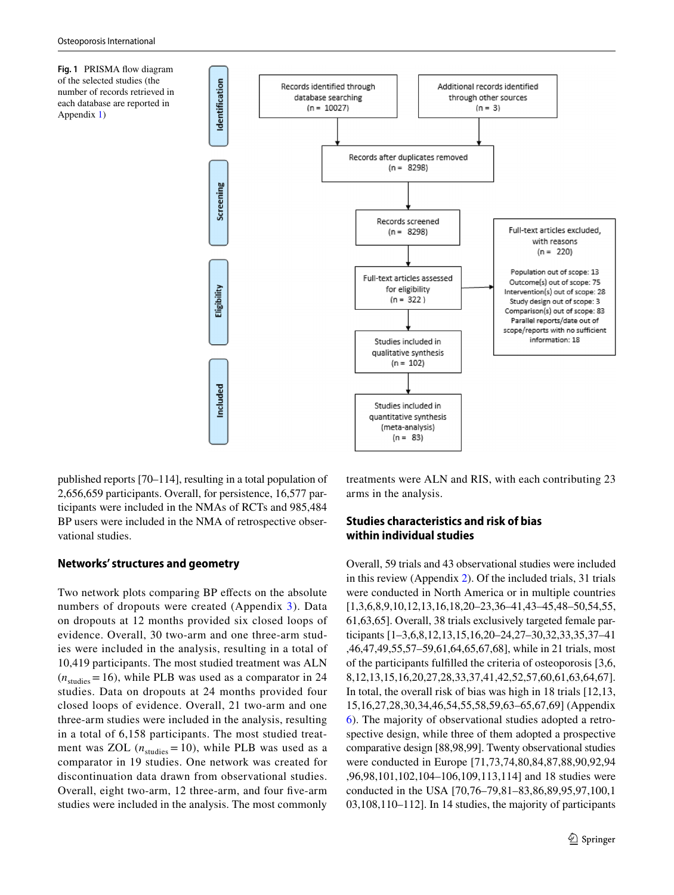<span id="page-4-0"></span>**Fig. 1** PRISMA fow diagram of the selected studies (the number of records retrieved in each database are reported in Appendix 1)



published reports [70–114], resulting in a total population of 2,656,659 participants. Overall, for persistence, 16,577 participants were included in the NMAs of RCTs and 985,484 BP users were included in the NMA of retrospective observational studies.

### **Networks' structures and geometry**

Two network plots comparing BP effects on the absolute numbers of dropouts were created (Appendix 3). Data on dropouts at 12 months provided six closed loops of evidence. Overall, 30 two-arm and one three-arm studies were included in the analysis, resulting in a total of 10,419 participants. The most studied treatment was ALN  $(n_{\text{studies}}=16)$ , while PLB was used as a comparator in 24 studies. Data on dropouts at 24 months provided four closed loops of evidence. Overall, 21 two-arm and one three-arm studies were included in the analysis, resulting in a total of 6,158 participants. The most studied treatment was ZOL  $(n_{\text{studies}} = 10)$ , while PLB was used as a comparator in 19 studies. One network was created for discontinuation data drawn from observational studies. Overall, eight two-arm, 12 three-arm, and four fve-arm studies were included in the analysis. The most commonly

treatments were ALN and RIS, with each contributing 23 arms in the analysis.

# **Studies characteristics and risk of bias within individual studies**

Overall, 59 trials and 43 observational studies were included in this review (Appendix 2). Of the included trials, 31 trials were conducted in North America or in multiple countries [1,3,6,8,9,10,12,13,16,18,20–23,36–41,43–45,48–50,54,55, 61,63,65]. Overall, 38 trials exclusively targeted female participants [1–3,6,8,12,13,15,16,20–24,27–30,32,33,35,37–41 ,46,47,49,55,57–59,61,64,65,67,68], while in 21 trials, most of the participants fulflled the criteria of osteoporosis [3,6, 8,12,13,15,16,20,27,28,33,37,41,42,52,57,60,61,63,64,67]. In total, the overall risk of bias was high in 18 trials [12,13, 15,16,27,28,30,34,46,54,55,58,59,63–65,67,69] (Appendix 6). The majority of observational studies adopted a retrospective design, while three of them adopted a prospective comparative design [88,98,99]. Twenty observational studies were conducted in Europe [71,73,74,80,84,87,88,90,92,94 ,96,98,101,102,104–106,109,113,114] and 18 studies were conducted in the USA [70,76–79,81–83,86,89,95,97,100,1 03,108,110–112]. In 14 studies, the majority of participants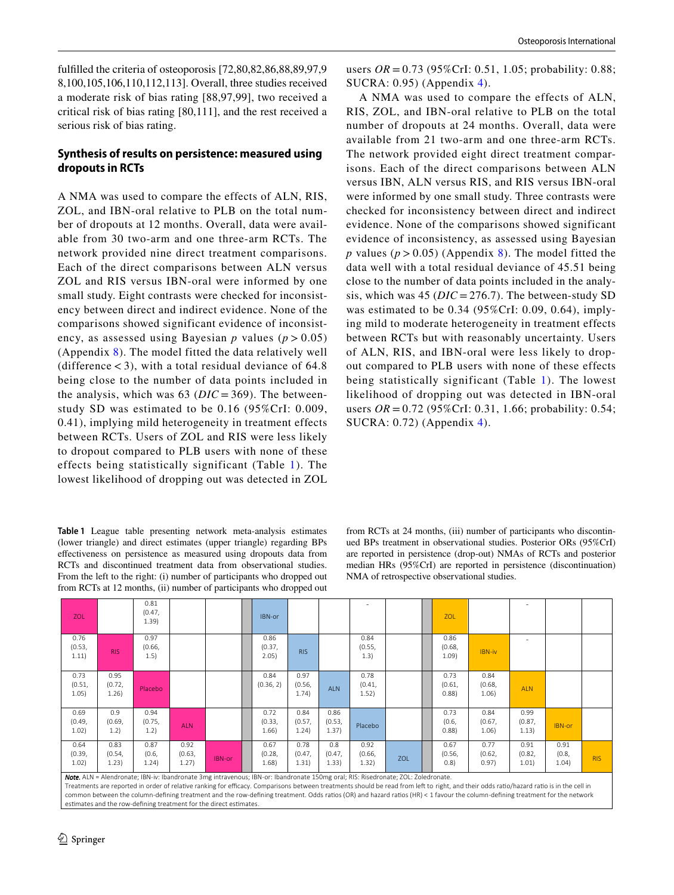fulflled the criteria of osteoporosis [72,80,82,86,88,89,97,9 8,100,105,106,110,112,113]. Overall, three studies received a moderate risk of bias rating [88,97,99], two received a critical risk of bias rating [80,111], and the rest received a serious risk of bias rating.

# **Synthesis of results on persistence: measured using dropouts in RCTs**

A NMA was used to compare the effects of ALN, RIS, ZOL, and IBN-oral relative to PLB on the total number of dropouts at 12 months. Overall, data were available from 30 two-arm and one three-arm RCTs. The network provided nine direct treatment comparisons. Each of the direct comparisons between ALN versus ZOL and RIS versus IBN-oral were informed by one small study. Eight contrasts were checked for inconsistency between direct and indirect evidence. None of the comparisons showed significant evidence of inconsistency, as assessed using Bayesian  $p$  values ( $p > 0.05$ ) (Appendix 8). The model fitted the data relatively well (difference  $<$  3), with a total residual deviance of 64.8 being close to the number of data points included in the analysis, which was 63 (*DIC* = 369). The betweenstudy SD was estimated to be 0.16 (95%CrI: 0.009, 0.41), implying mild heterogeneity in treatment effects between RCTs. Users of ZOL and RIS were less likely to dropout compared to PLB users with none of these effects being statistically significant (Table [1\)](#page-5-0). The lowest likelihood of dropping out was detected in ZOL

<span id="page-5-0"></span>**Table 1** League table presenting network meta-analysis estimates (lower triangle) and direct estimates (upper triangle) regarding BPs efectiveness on persistence as measured using dropouts data from RCTs and discontinued treatment data from observational studies. From the left to the right: (i) number of participants who dropped out from RCTs at 12 months, (ii) number of participants who dropped out

users *OR* = 0.73 (95%CrI: 0.51, 1.05; probability: 0.88; SUCRA: 0.95) (Appendix 4).

A NMA was used to compare the effects of ALN, RIS, ZOL, and IBN-oral relative to PLB on the total number of dropouts at 24 months. Overall, data were available from 21 two-arm and one three-arm RCTs. The network provided eight direct treatment comparisons. Each of the direct comparisons between ALN versus IBN, ALN versus RIS, and RIS versus IBN-oral were informed by one small study. Three contrasts were checked for inconsistency between direct and indirect evidence. None of the comparisons showed significant evidence of inconsistency, as assessed using Bayesian *p* values ( $p > 0.05$ ) (Appendix 8). The model fitted the data well with a total residual deviance of 45.51 being close to the number of data points included in the analysis, which was 45 (*DIC* = 276.7). The between-study SD was estimated to be 0.34 (95%CrI: 0.09, 0.64), implying mild to moderate heterogeneity in treatment effects between RCTs but with reasonably uncertainty. Users of ALN, RIS, and IBN-oral were less likely to dropout compared to PLB users with none of these effects being statistically significant (Table [1\)](#page-5-0). The lowest likelihood of dropping out was detected in IBN-oral users *OR* = 0.72 (95%CrI: 0.31, 1.66; probability: 0.54; SUCRA: 0.72) (Appendix 4).

from RCTs at 24 months, (iii) number of participants who discontinued BPs treatment in observational studies. Posterior ORs (95%CrI) are reported in persistence (drop-out) NMAs of RCTs and posterior median HRs (95%CrI) are reported in persistence (discontinuation) NMA of retrospective observational studies.

| ZOL                                                                                                                                                                                                                                                       |                         | 0.81<br>(0.47,<br>1.39)  |                         |               | IBN-or                                                                |                                                        |                         | $\overline{\phantom{a}}$                                                  |                                           | ZOL                     |                           | $\overline{\phantom{a}}$ |                        |            |
|-----------------------------------------------------------------------------------------------------------------------------------------------------------------------------------------------------------------------------------------------------------|-------------------------|--------------------------|-------------------------|---------------|-----------------------------------------------------------------------|--------------------------------------------------------|-------------------------|---------------------------------------------------------------------------|-------------------------------------------|-------------------------|---------------------------|--------------------------|------------------------|------------|
| 0.76<br>(0.53,<br>1.11)                                                                                                                                                                                                                                   | <b>RIS</b>              | 0.97<br>(0.66, )<br>1.5) |                         |               | 0.86<br>(0.37,<br>2.05)                                               | <b>RIS</b>                                             |                         | 0.84<br>(0.55,<br>1.3)                                                    |                                           | 0.86<br>(0.68,<br>1.09  | IBN-iv                    | ٠                        |                        |            |
| 0.73<br>(0.51,<br>1.05)                                                                                                                                                                                                                                   | 0.95<br>(0.72,<br>1.26) | Placebo                  |                         |               | 0.84<br>(0.36, 2)                                                     | 0.97<br>(0.56,<br>1.74)                                | <b>ALN</b>              | 0.78<br>(0.41,<br>1.52)                                                   |                                           | 0.73<br>(0.61,<br>0.88  | 0.84<br>(0.68,<br>1.06)   | <b>ALN</b>               |                        |            |
| 0.69<br>(0.49,<br>1.02)                                                                                                                                                                                                                                   | 0.9<br>(0.69,<br>1.2)   | 0.94<br>(0.75,<br>1.2)   | <b>ALN</b>              |               | 0.72<br>(0.33,<br>1.66)                                               | 0.84<br>(0.57,<br>1.24)                                | 0.86<br>(0.53,<br>1.37) | Placebo                                                                   |                                           | 0.73<br>(0.6,<br>0.88   | 0.84<br>(0.67, )<br>1.06) | 0.99<br>(0.87,<br>1.13)  | IBN-or                 |            |
| 0.64<br>(0.39,<br>1.02)<br>as a construction of the construction of the construction of the construction of the construction of the construction of the construction of the construction of the construction of the construction of the construction of t | 0.83<br>(0.54,<br>1.23) | 0.87<br>(0.6,<br>1.24)   | 0.92<br>(0.63,<br>1.27) | <b>IBN-or</b> | 0.67<br>(0.28,<br>1.68)<br>10.21<br>and the state of the state of the | 0.78<br>(0.47,<br>1.31)<br>$\sim$ $\sim$ $\sim$ $\sim$ | 0.8<br>(0.47,<br>1.33)  | 0.92<br>(0.66,<br>1.32)<br>$\mathbf{1}$ and $\mathbf{2}$ and $\mathbf{3}$ | ZOL<br>$\sim$ $\sim$ $\sim$ $\sim$ $\sim$ | 0.67<br>(0.56,<br>(0.8) | 0.77<br>(0.62,<br>0.97)   | 0.91<br>(0.82,<br>1.01)  | 0.91<br>(0.8,<br>1.04) | <b>RIS</b> |

*Note.* ALN = Alendronate; IBN-iv: Ibandronate 3mg intravenous; IBN-or: Ibandronate 150mg oral; RIS: Risedronate; ZOL: Zoledronate. Treatments are reported in order of relative ranking for efficacy. Comparisons between treatments should be read from left to right, and their odds ratio/hazard ratio is in the cell in common between the column-defining treatment and the row-defining treatment. Odds ratios (OR) and hazard ratios (HR) < 1 favour the column-defining treatment for the network estimates and the row-defining treatment for the direct estimate: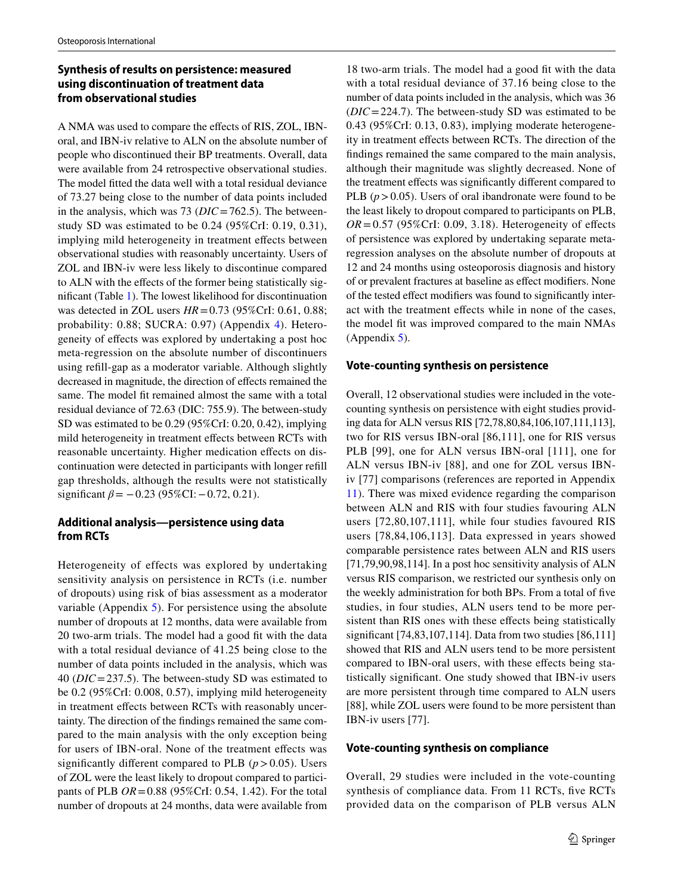# **Synthesis of results on persistence: measured using discontinuation of treatment data from observational studies**

A NMA was used to compare the efects of RIS, ZOL, IBNoral, and IBN-iv relative to ALN on the absolute number of people who discontinued their BP treatments. Overall, data were available from 24 retrospective observational studies. The model fitted the data well with a total residual deviance of 73.27 being close to the number of data points included in the analysis, which was 73 (*DIC* = 762.5). The betweenstudy SD was estimated to be 0.24 (95%CrI: 0.19, 0.31), implying mild heterogeneity in treatment effects between observational studies with reasonably uncertainty. Users of ZOL and IBN-iv were less likely to discontinue compared to ALN with the efects of the former being statistically signifcant (Table [1\)](#page-5-0). The lowest likelihood for discontinuation was detected in ZOL users *HR*=0.73 (95%CrI: 0.61, 0.88; probability: 0.88; SUCRA: 0.97) (Appendix 4). Heterogeneity of efects was explored by undertaking a post hoc meta-regression on the absolute number of discontinuers using refll-gap as a moderator variable. Although slightly decreased in magnitude, the direction of effects remained the same. The model ft remained almost the same with a total residual deviance of 72.63 (DIC: 755.9). The between-study SD was estimated to be 0.29 (95%CrI: 0.20, 0.42), implying mild heterogeneity in treatment efects between RCTs with reasonable uncertainty. Higher medication efects on discontinuation were detected in participants with longer refll gap thresholds, although the results were not statistically significant  $\beta$ = −0.23 (95%CI: −0.72, 0.21).

# **Additional analysis—persistence using data from RCTs**

Heterogeneity of effects was explored by undertaking sensitivity analysis on persistence in RCTs (i.e. number of dropouts) using risk of bias assessment as a moderator variable (Appendix 5). For persistence using the absolute number of dropouts at 12 months, data were available from 20 two-arm trials. The model had a good ft with the data with a total residual deviance of 41.25 being close to the number of data points included in the analysis, which was 40 (*DIC*=237.5). The between-study SD was estimated to be 0.2 (95%CrI: 0.008, 0.57), implying mild heterogeneity in treatment efects between RCTs with reasonably uncertainty. The direction of the fndings remained the same compared to the main analysis with the only exception being for users of IBN-oral. None of the treatment efects was significantly different compared to PLB  $(p > 0.05)$ . Users of ZOL were the least likely to dropout compared to participants of PLB *OR*=0.88 (95%CrI: 0.54, 1.42). For the total number of dropouts at 24 months, data were available from

18 two-arm trials. The model had a good fit with the data with a total residual deviance of 37.16 being close to the number of data points included in the analysis, which was 36 (*DIC*=224.7). The between-study SD was estimated to be 0.43 (95%CrI: 0.13, 0.83), implying moderate heterogeneity in treatment efects between RCTs. The direction of the fndings remained the same compared to the main analysis, although their magnitude was slightly decreased. None of the treatment efects was signifcantly diferent compared to PLB  $(p > 0.05)$ . Users of oral ibandronate were found to be the least likely to dropout compared to participants on PLB,  $OR = 0.57$  (95%CrI: 0.09, 3.18). Heterogeneity of effects of persistence was explored by undertaking separate metaregression analyses on the absolute number of dropouts at 12 and 24 months using osteoporosis diagnosis and history of or prevalent fractures at baseline as efect modifers. None of the tested efect modifers was found to signifcantly interact with the treatment efects while in none of the cases, the model ft was improved compared to the main NMAs (Appendix 5).

### **Vote‑counting synthesis on persistence**

Overall, 12 observational studies were included in the votecounting synthesis on persistence with eight studies providing data for ALN versus RIS [72,78,80,84,106,107,111,113], two for RIS versus IBN-oral [86,111], one for RIS versus PLB [99], one for ALN versus IBN-oral [111], one for ALN versus IBN-iv [88], and one for ZOL versus IBNiv [77] comparisons (references are reported in Appendix 11). There was mixed evidence regarding the comparison between ALN and RIS with four studies favouring ALN users [72,80,107,111], while four studies favoured RIS users [78,84,106,113]. Data expressed in years showed comparable persistence rates between ALN and RIS users [71,79,90,98,114]. In a post hoc sensitivity analysis of ALN versus RIS comparison, we restricted our synthesis only on the weekly administration for both BPs. From a total of fve studies, in four studies, ALN users tend to be more persistent than RIS ones with these efects being statistically signifcant [74,83,107,114]. Data from two studies [86,111] showed that RIS and ALN users tend to be more persistent compared to IBN-oral users, with these efects being statistically signifcant. One study showed that IBN-iv users are more persistent through time compared to ALN users [88], while ZOL users were found to be more persistent than IBN-iv users [77].

#### **Vote‑counting synthesis on compliance**

Overall, 29 studies were included in the vote-counting synthesis of compliance data. From 11 RCTs, fve RCTs provided data on the comparison of PLB versus ALN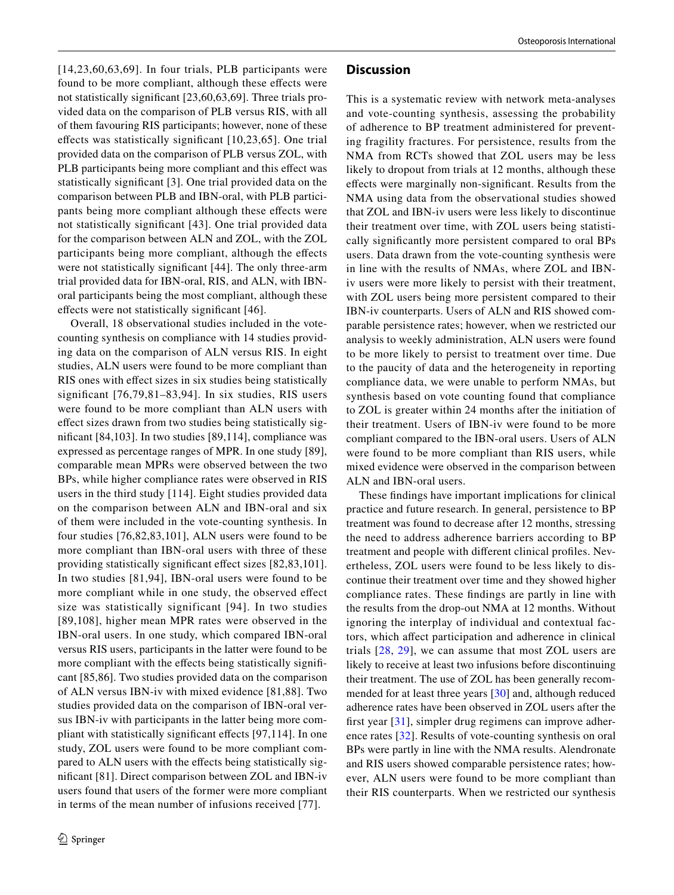$[14,23,60,63,69]$ . In four trials, PLB participants were found to be more compliant, although these efects were not statistically signifcant [23,60,63,69]. Three trials provided data on the comparison of PLB versus RIS, with all of them favouring RIS participants; however, none of these efects was statistically signifcant [10,23,65]. One trial provided data on the comparison of PLB versus ZOL, with PLB participants being more compliant and this effect was statistically signifcant [3]. One trial provided data on the comparison between PLB and IBN-oral, with PLB participants being more compliant although these efects were not statistically signifcant [43]. One trial provided data for the comparison between ALN and ZOL, with the ZOL participants being more compliant, although the efects were not statistically signifcant [44]. The only three-arm trial provided data for IBN-oral, RIS, and ALN, with IBNoral participants being the most compliant, although these efects were not statistically signifcant [46].

Overall, 18 observational studies included in the votecounting synthesis on compliance with 14 studies providing data on the comparison of ALN versus RIS. In eight studies, ALN users were found to be more compliant than RIS ones with efect sizes in six studies being statistically signifcant [76,79,81–83,94]. In six studies, RIS users were found to be more compliant than ALN users with efect sizes drawn from two studies being statistically signifcant [84,103]. In two studies [89,114], compliance was expressed as percentage ranges of MPR. In one study [89], comparable mean MPRs were observed between the two BPs, while higher compliance rates were observed in RIS users in the third study [114]. Eight studies provided data on the comparison between ALN and IBN-oral and six of them were included in the vote-counting synthesis. In four studies [76,82,83,101], ALN users were found to be more compliant than IBN-oral users with three of these providing statistically signifcant efect sizes [82,83,101]. In two studies [81,94], IBN-oral users were found to be more compliant while in one study, the observed effect size was statistically significant [94]. In two studies [89,108], higher mean MPR rates were observed in the IBN-oral users. In one study, which compared IBN-oral versus RIS users, participants in the latter were found to be more compliant with the effects being statistically significant [85,86]. Two studies provided data on the comparison of ALN versus IBN-iv with mixed evidence [81,88]. Two studies provided data on the comparison of IBN-oral versus IBN-iv with participants in the latter being more compliant with statistically signifcant efects [97,114]. In one study, ZOL users were found to be more compliant compared to ALN users with the efects being statistically signifcant [81]. Direct comparison between ZOL and IBN-iv users found that users of the former were more compliant in terms of the mean number of infusions received [77].

### **Discussion**

This is a systematic review with network meta-analyses and vote-counting synthesis, assessing the probability of adherence to BP treatment administered for preventing fragility fractures. For persistence, results from the NMA from RCTs showed that ZOL users may be less likely to dropout from trials at 12 months, although these efects were marginally non-signifcant. Results from the NMA using data from the observational studies showed that ZOL and IBN-iv users were less likely to discontinue their treatment over time, with ZOL users being statistically signifcantly more persistent compared to oral BPs users. Data drawn from the vote-counting synthesis were in line with the results of NMAs, where ZOL and IBNiv users were more likely to persist with their treatment, with ZOL users being more persistent compared to their IBN-iv counterparts. Users of ALN and RIS showed comparable persistence rates; however, when we restricted our analysis to weekly administration, ALN users were found to be more likely to persist to treatment over time. Due to the paucity of data and the heterogeneity in reporting compliance data, we were unable to perform NMAs, but synthesis based on vote counting found that compliance to ZOL is greater within 24 months after the initiation of their treatment. Users of IBN-iv were found to be more compliant compared to the IBN-oral users. Users of ALN were found to be more compliant than RIS users, while mixed evidence were observed in the comparison between ALN and IBN-oral users.

These fndings have important implications for clinical practice and future research. In general, persistence to BP treatment was found to decrease after 12 months, stressing the need to address adherence barriers according to BP treatment and people with diferent clinical profles. Nevertheless, ZOL users were found to be less likely to discontinue their treatment over time and they showed higher compliance rates. These fndings are partly in line with the results from the drop-out NMA at 12 months. Without ignoring the interplay of individual and contextual factors, which afect participation and adherence in clinical trials [[28,](#page-9-20) [29](#page-9-21)], we can assume that most ZOL users are likely to receive at least two infusions before discontinuing their treatment. The use of ZOL has been generally recommended for at least three years [[30](#page-9-22)] and, although reduced adherence rates have been observed in ZOL users after the frst year [[31](#page-9-23)], simpler drug regimens can improve adherence rates [[32](#page-9-24)]. Results of vote-counting synthesis on oral BPs were partly in line with the NMA results. Alendronate and RIS users showed comparable persistence rates; however, ALN users were found to be more compliant than their RIS counterparts. When we restricted our synthesis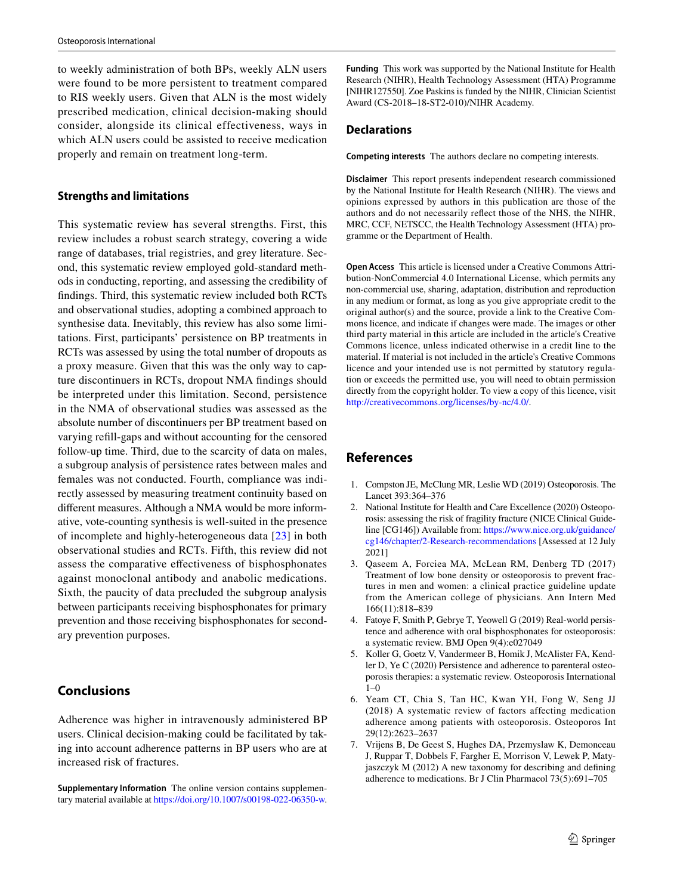to weekly administration of both BPs, weekly ALN users were found to be more persistent to treatment compared to RIS weekly users. Given that ALN is the most widely prescribed medication, clinical decision-making should consider, alongside its clinical effectiveness, ways in which ALN users could be assisted to receive medication properly and remain on treatment long-term.

### **Strengths and limitations**

This systematic review has several strengths. First, this review includes a robust search strategy, covering a wide range of databases, trial registries, and grey literature. Second, this systematic review employed gold-standard methods in conducting, reporting, and assessing the credibility of fndings. Third, this systematic review included both RCTs and observational studies, adopting a combined approach to synthesise data. Inevitably, this review has also some limitations. First, participants' persistence on BP treatments in RCTs was assessed by using the total number of dropouts as a proxy measure. Given that this was the only way to capture discontinuers in RCTs, dropout NMA fndings should be interpreted under this limitation. Second, persistence in the NMA of observational studies was assessed as the absolute number of discontinuers per BP treatment based on varying refll-gaps and without accounting for the censored follow-up time. Third, due to the scarcity of data on males, a subgroup analysis of persistence rates between males and females was not conducted. Fourth, compliance was indirectly assessed by measuring treatment continuity based on diferent measures. Although a NMA would be more informative, vote-counting synthesis is well-suited in the presence of incomplete and highly-heterogeneous data [[23\]](#page-9-15) in both observational studies and RCTs. Fifth, this review did not assess the comparative efectiveness of bisphosphonates against monoclonal antibody and anabolic medications. Sixth, the paucity of data precluded the subgroup analysis between participants receiving bisphosphonates for primary prevention and those receiving bisphosphonates for secondary prevention purposes.

# **Conclusions**

Adherence was higher in intravenously administered BP users. Clinical decision-making could be facilitated by taking into account adherence patterns in BP users who are at increased risk of fractures.

**Supplementary Information** The online version contains supplementary material available at<https://doi.org/10.1007/s00198-022-06350-w>. **Funding** This work was supported by the National Institute for Health Research (NIHR), Health Technology Assessment (HTA) Programme [NIHR127550]. Zoe Paskins is funded by the NIHR, Clinician Scientist Award (CS-2018–18-ST2-010)/NIHR Academy.

### **Declarations**

**Competing interests** The authors declare no competing interests.

**Disclaimer** This report presents independent research commissioned by the National Institute for Health Research (NIHR). The views and opinions expressed by authors in this publication are those of the authors and do not necessarily refect those of the NHS, the NIHR, MRC, CCF, NETSCC, the Health Technology Assessment (HTA) programme or the Department of Health.

**Open Access** This article is licensed under a Creative Commons Attribution-NonCommercial 4.0 International License, which permits any non-commercial use, sharing, adaptation, distribution and reproduction in any medium or format, as long as you give appropriate credit to the original author(s) and the source, provide a link to the Creative Commons licence, and indicate if changes were made. The images or other third party material in this article are included in the article's Creative Commons licence, unless indicated otherwise in a credit line to the material. If material is not included in the article's Creative Commons licence and your intended use is not permitted by statutory regulation or exceeds the permitted use, you will need to obtain permission directly from the copyright holder. To view a copy of this licence, visit <http://creativecommons.org/licenses/by-nc/4.0/>.

# **References**

- <span id="page-8-0"></span>1. Compston JE, McClung MR, Leslie WD (2019) Osteoporosis. The Lancet 393:364–376
- <span id="page-8-1"></span>2. National Institute for Health and Care Excellence (2020) Osteoporosis: assessing the risk of fragility fracture (NICE Clinical Guideline [CG146]) Available from: [https://www.nice.org.uk/guidance/](https://www.nice.org.uk/guidance/cg146/chapter/2-Research-recommendations) [cg146/chapter/2-Research-recommendations](https://www.nice.org.uk/guidance/cg146/chapter/2-Research-recommendations) [Assessed at 12 July 2021]
- <span id="page-8-2"></span>3. Qaseem A, Forciea MA, McLean RM, Denberg TD (2017) Treatment of low bone density or osteoporosis to prevent fractures in men and women: a clinical practice guideline update from the American college of physicians. Ann Intern Med 166(11):818–839
- <span id="page-8-3"></span>4. Fatoye F, Smith P, Gebrye T, Yeowell G (2019) Real-world persistence and adherence with oral bisphosphonates for osteoporosis: a systematic review. BMJ Open 9(4):e027049
- <span id="page-8-4"></span>5. Koller G, Goetz V, Vandermeer B, Homik J, McAlister FA, Kendler D, Ye C (2020) Persistence and adherence to parenteral osteoporosis therapies: a systematic review. Osteoporosis International 1–0
- <span id="page-8-5"></span>6. Yeam CT, Chia S, Tan HC, Kwan YH, Fong W, Seng JJ (2018) A systematic review of factors affecting medication adherence among patients with osteoporosis. Osteoporos Int 29(12):2623–2637
- <span id="page-8-6"></span>7. Vrijens B, De Geest S, Hughes DA, Przemyslaw K, Demonceau J, Ruppar T, Dobbels F, Fargher E, Morrison V, Lewek P, Matyjaszczyk M (2012) A new taxonomy for describing and defning adherence to medications. Br J Clin Pharmacol 73(5):691–705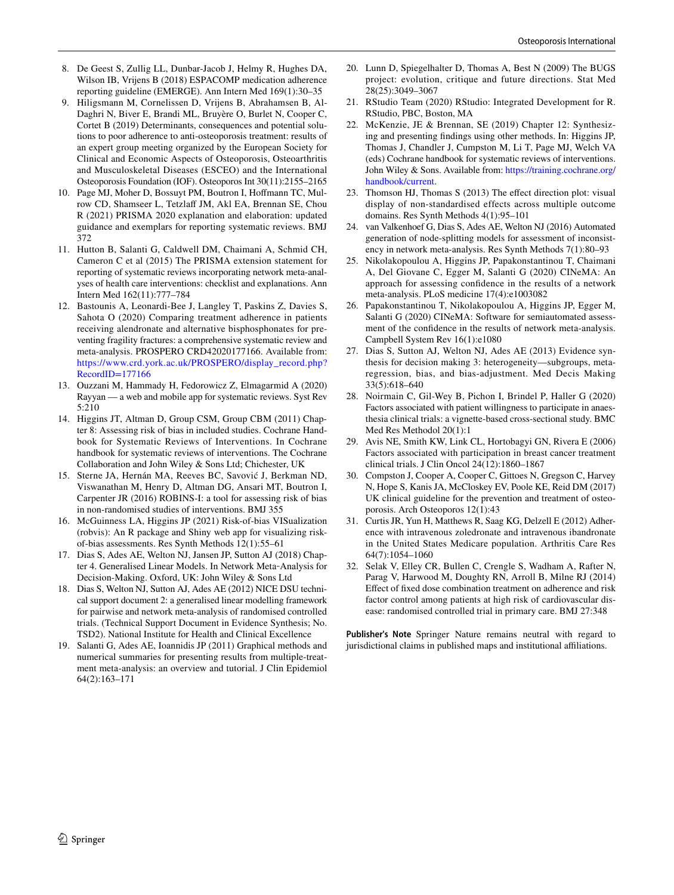- <span id="page-9-0"></span>8. De Geest S, Zullig LL, Dunbar-Jacob J, Helmy R, Hughes DA, Wilson IB, Vrijens B (2018) ESPACOMP medication adherence reporting guideline (EMERGE). Ann Intern Med 169(1):30–35
- <span id="page-9-1"></span>9. Hiligsmann M, Cornelissen D, Vrijens B, Abrahamsen B, Al-Daghri N, Biver E, Brandi ML, Bruyère O, Burlet N, Cooper C, Cortet B (2019) Determinants, consequences and potential solutions to poor adherence to anti-osteoporosis treatment: results of an expert group meeting organized by the European Society for Clinical and Economic Aspects of Osteoporosis, Osteoarthritis and Musculoskeletal Diseases (ESCEO) and the International Osteoporosis Foundation (IOF). Osteoporos Int 30(11):2155–2165
- <span id="page-9-2"></span>10. Page MJ, Moher D, Bossuyt PM, Boutron I, Hofmann TC, Mulrow CD, Shamseer L, Tetzlaff JM, Akl EA, Brennan SE, Chou R (2021) PRISMA 2020 explanation and elaboration: updated guidance and exemplars for reporting systematic reviews. BMJ 372
- <span id="page-9-3"></span>11. Hutton B, Salanti G, Caldwell DM, Chaimani A, Schmid CH, Cameron C et al (2015) The PRISMA extension statement for reporting of systematic reviews incorporating network meta-analyses of health care interventions: checklist and explanations. Ann Intern Med 162(11):777–784
- <span id="page-9-4"></span>12. Bastounis A, Leonardi-Bee J, Langley T, Paskins Z, Davies S, Sahota O (2020) Comparing treatment adherence in patients receiving alendronate and alternative bisphosphonates for preventing fragility fractures: a comprehensive systematic review and meta-analysis. PROSPERO CRD42020177166. Available from: [https://www.crd.york.ac.uk/PROSPERO/display\\_record.php?](https://www.crd.york.ac.uk/PROSPERO/display_record.php?RecordID=177166) [RecordID=177166](https://www.crd.york.ac.uk/PROSPERO/display_record.php?RecordID=177166)
- <span id="page-9-5"></span>13. Ouzzani M, Hammady H, Fedorowicz Z, Elmagarmid A (2020) Rayyan — a web and mobile app for systematic reviews. Syst Rev 5:210
- <span id="page-9-6"></span>14. Higgins JT, Altman D, Group CSM, Group CBM (2011) Chapter 8: Assessing risk of bias in included studies. Cochrane Handbook for Systematic Reviews of Interventions. In Cochrane handbook for systematic reviews of interventions. The Cochrane Collaboration and John Wiley & Sons Ltd; Chichester, UK
- <span id="page-9-7"></span>15. Sterne JA, Hernán MA, Reeves BC, Savović J, Berkman ND, Viswanathan M, Henry D, Altman DG, Ansari MT, Boutron I, Carpenter JR (2016) ROBINS-I: a tool for assessing risk of bias in non-randomised studies of interventions. BMJ 355
- <span id="page-9-8"></span>16. McGuinness LA, Higgins JP (2021) Risk-of-bias VISualization (robvis): An R package and Shiny web app for visualizing riskof-bias assessments. Res Synth Methods 12(1):55–61
- <span id="page-9-9"></span>17. Dias S, Ades AE, Welton NJ, Jansen JP, Sutton AJ (2018) Chapter 4. Generalised Linear Models. In Network Meta‐Analysis for Decision-Making. Oxford, UK: John Wiley & Sons Ltd
- <span id="page-9-10"></span>18. Dias S, Welton NJ, Sutton AJ, Ades AE (2012) NICE DSU technical support document 2: a generalised linear modelling framework for pairwise and network meta-analysis of randomised controlled trials. (Technical Support Document in Evidence Synthesis; No. TSD2). National Institute for Health and Clinical Excellence
- <span id="page-9-11"></span>19. Salanti G, Ades AE, Ioannidis JP (2011) Graphical methods and numerical summaries for presenting results from multiple-treatment meta-analysis: an overview and tutorial. J Clin Epidemiol 64(2):163–171
- <span id="page-9-12"></span>20. Lunn D, Spiegelhalter D, Thomas A, Best N (2009) The BUGS project: evolution, critique and future directions. Stat Med 28(25):3049–3067
- <span id="page-9-13"></span>21. RStudio Team (2020) RStudio: Integrated Development for R. RStudio, PBC, Boston, MA
- <span id="page-9-14"></span>22. McKenzie, JE & Brennan, SE (2019) Chapter 12: Synthesizing and presenting fndings using other methods. In: Higgins JP, Thomas J, Chandler J, Cumpston M, Li T, Page MJ, Welch VA (eds) Cochrane handbook for systematic reviews of interventions. John Wiley & Sons. Available from: [https://training.cochrane.org/](https://training.cochrane.org/handbook/current) [handbook/current.](https://training.cochrane.org/handbook/current)
- <span id="page-9-15"></span>23. Thomson HJ, Thomas S (2013) The efect direction plot: visual display of non-standardised effects across multiple outcome domains. Res Synth Methods 4(1):95–101
- <span id="page-9-16"></span>24. van Valkenhoef G, Dias S, Ades AE, Welton NJ (2016) Automated generation of node-splitting models for assessment of inconsistency in network meta-analysis. Res Synth Methods 7(1):80–93
- <span id="page-9-17"></span>25. Nikolakopoulou A, Higgins JP, Papakonstantinou T, Chaimani A, Del Giovane C, Egger M, Salanti G (2020) CINeMA: An approach for assessing confdence in the results of a network meta-analysis. PLoS medicine 17(4):e1003082
- <span id="page-9-18"></span>26. Papakonstantinou T, Nikolakopoulou A, Higgins JP, Egger M, Salanti G (2020) CINeMA: Software for semiautomated assessment of the confdence in the results of network meta-analysis. Campbell System Rev 16(1):e1080
- <span id="page-9-19"></span>27. Dias S, Sutton AJ, Welton NJ, Ades AE (2013) Evidence synthesis for decision making 3: heterogeneity—subgroups, metaregression, bias, and bias-adjustment. Med Decis Making 33(5):618–640
- <span id="page-9-20"></span>28. Noirmain C, Gil-Wey B, Pichon I, Brindel P, Haller G (2020) Factors associated with patient willingness to participate in anaesthesia clinical trials: a vignette-based cross-sectional study. BMC Med Res Methodol 20(1):1
- <span id="page-9-21"></span>29. Avis NE, Smith KW, Link CL, Hortobagyi GN, Rivera E (2006) Factors associated with participation in breast cancer treatment clinical trials. J Clin Oncol 24(12):1860–1867
- <span id="page-9-22"></span>30. Compston J, Cooper A, Cooper C, Gittoes N, Gregson C, Harvey N, Hope S, Kanis JA, McCloskey EV, Poole KE, Reid DM (2017) UK clinical guideline for the prevention and treatment of osteoporosis. Arch Osteoporos 12(1):43
- <span id="page-9-23"></span>31. Curtis JR, Yun H, Matthews R, Saag KG, Delzell E (2012) Adherence with intravenous zoledronate and intravenous ibandronate in the United States Medicare population. Arthritis Care Res 64(7):1054–1060
- <span id="page-9-24"></span>32. Selak V, Elley CR, Bullen C, Crengle S, Wadham A, Rafter N, Parag V, Harwood M, Doughty RN, Arroll B, Milne RJ (2014) Efect of fxed dose combination treatment on adherence and risk factor control among patients at high risk of cardiovascular disease: randomised controlled trial in primary care. BMJ 27:348

**Publisher's Note** Springer Nature remains neutral with regard to jurisdictional claims in published maps and institutional afliations.